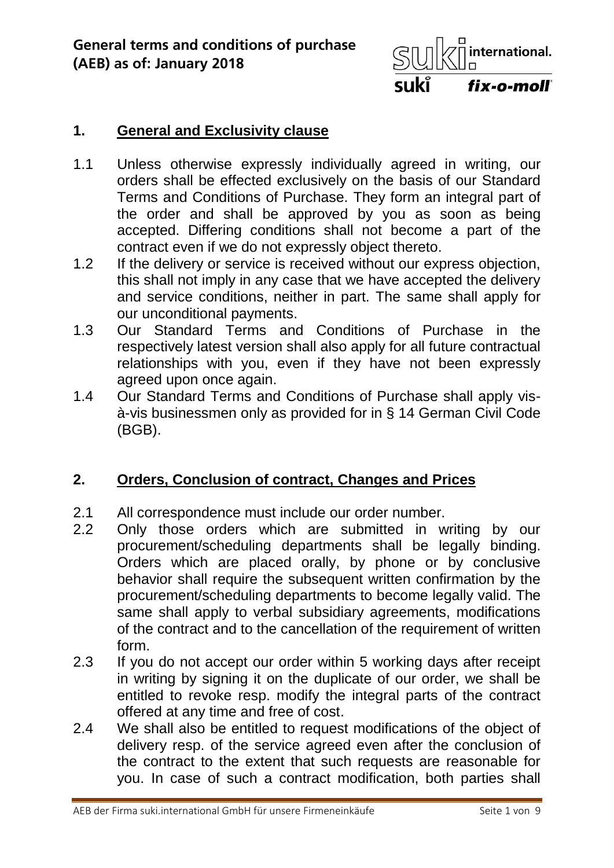

#### **1. General and Exclusivity clause**

- 1.1 Unless otherwise expressly individually agreed in writing, our orders shall be effected exclusively on the basis of our Standard Terms and Conditions of Purchase. They form an integral part of the order and shall be approved by you as soon as being accepted. Differing conditions shall not become a part of the contract even if we do not expressly object thereto.
- 1.2 If the delivery or service is received without our express objection, this shall not imply in any case that we have accepted the delivery and service conditions, neither in part. The same shall apply for our unconditional payments.
- 1.3 Our Standard Terms and Conditions of Purchase in the respectively latest version shall also apply for all future contractual relationships with you, even if they have not been expressly agreed upon once again.
- 1.4 Our Standard Terms and Conditions of Purchase shall apply visà-vis businessmen only as provided for in § 14 German Civil Code (BGB).

### **2. Orders, Conclusion of contract, Changes and Prices**

- 2.1 All correspondence must include our order number.
- 2.2 Only those orders which are submitted in writing by our procurement/scheduling departments shall be legally binding. Orders which are placed orally, by phone or by conclusive behavior shall require the subsequent written confirmation by the procurement/scheduling departments to become legally valid. The same shall apply to verbal subsidiary agreements, modifications of the contract and to the cancellation of the requirement of written form.
- 2.3 If you do not accept our order within 5 working days after receipt in writing by signing it on the duplicate of our order, we shall be entitled to revoke resp. modify the integral parts of the contract offered at any time and free of cost.
- 2.4 We shall also be entitled to request modifications of the object of delivery resp. of the service agreed even after the conclusion of the contract to the extent that such requests are reasonable for you. In case of such a contract modification, both parties shall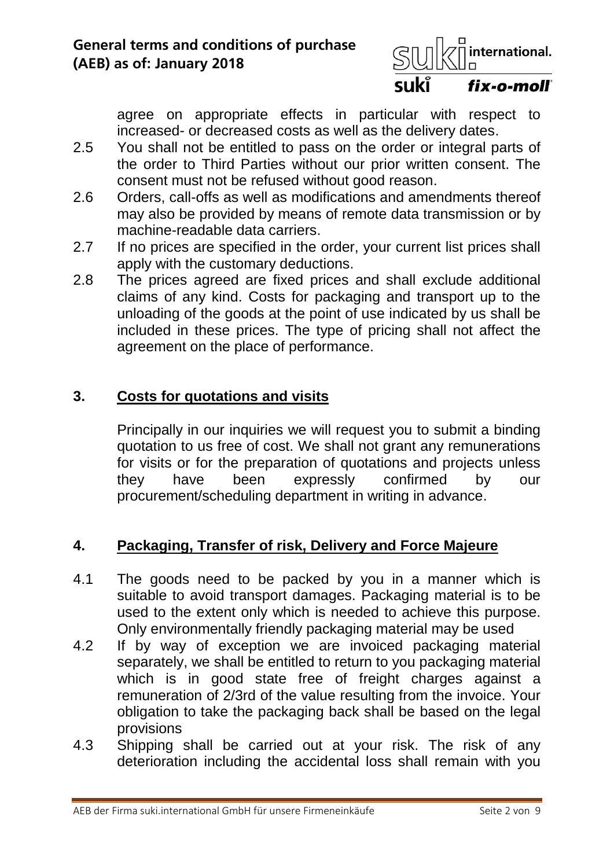

### fix-o-moll

agree on appropriate effects in particular with respect to increased- or decreased costs as well as the delivery dates.

- 2.5 You shall not be entitled to pass on the order or integral parts of the order to Third Parties without our prior written consent. The consent must not be refused without good reason.
- 2.6 Orders, call-offs as well as modifications and amendments thereof may also be provided by means of remote data transmission or by machine-readable data carriers.
- 2.7 If no prices are specified in the order, your current list prices shall apply with the customary deductions.
- 2.8 The prices agreed are fixed prices and shall exclude additional claims of any kind. Costs for packaging and transport up to the unloading of the goods at the point of use indicated by us shall be included in these prices. The type of pricing shall not affect the agreement on the place of performance.

### **3. Costs for quotations and visits**

Principally in our inquiries we will request you to submit a binding quotation to us free of cost. We shall not grant any remunerations for visits or for the preparation of quotations and projects unless they have been expressly confirmed by our procurement/scheduling department in writing in advance.

### **4. Packaging, Transfer of risk, Delivery and Force Majeure**

- 4.1 The goods need to be packed by you in a manner which is suitable to avoid transport damages. Packaging material is to be used to the extent only which is needed to achieve this purpose. Only environmentally friendly packaging material may be used
- 4.2 If by way of exception we are invoiced packaging material separately, we shall be entitled to return to you packaging material which is in good state free of freight charges against a remuneration of 2/3rd of the value resulting from the invoice. Your obligation to take the packaging back shall be based on the legal provisions
- 4.3 Shipping shall be carried out at your risk. The risk of any deterioration including the accidental loss shall remain with you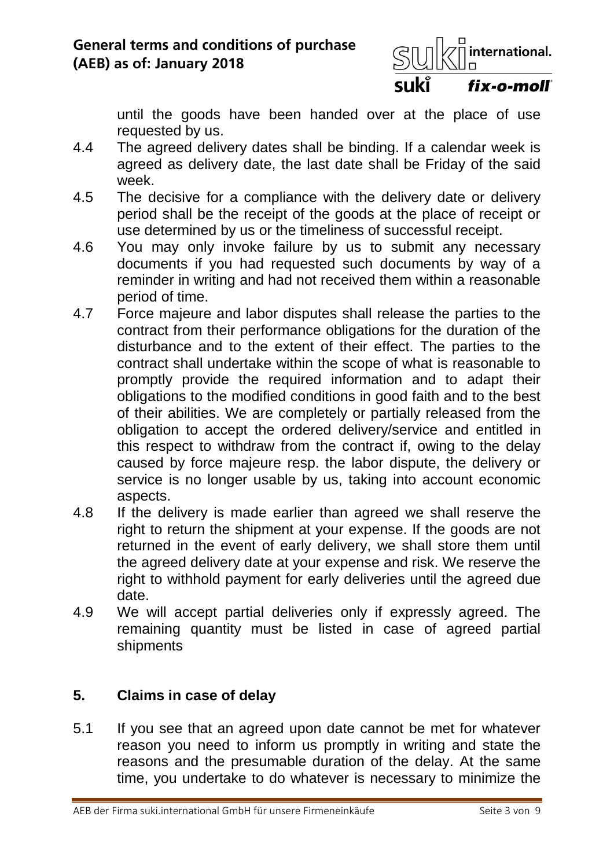

until the goods have been handed over at the place of use requested by us.

- 4.4 The agreed delivery dates shall be binding. If a calendar week is agreed as delivery date, the last date shall be Friday of the said week.
- 4.5 The decisive for a compliance with the delivery date or delivery period shall be the receipt of the goods at the place of receipt or use determined by us or the timeliness of successful receipt.
- 4.6 You may only invoke failure by us to submit any necessary documents if you had requested such documents by way of a reminder in writing and had not received them within a reasonable period of time.
- 4.7 Force majeure and labor disputes shall release the parties to the contract from their performance obligations for the duration of the disturbance and to the extent of their effect. The parties to the contract shall undertake within the scope of what is reasonable to promptly provide the required information and to adapt their obligations to the modified conditions in good faith and to the best of their abilities. We are completely or partially released from the obligation to accept the ordered delivery/service and entitled in this respect to withdraw from the contract if, owing to the delay caused by force majeure resp. the labor dispute, the delivery or service is no longer usable by us, taking into account economic aspects.
- 4.8 If the delivery is made earlier than agreed we shall reserve the right to return the shipment at your expense. If the goods are not returned in the event of early delivery, we shall store them until the agreed delivery date at your expense and risk. We reserve the right to withhold payment for early deliveries until the agreed due date.
- 4.9 We will accept partial deliveries only if expressly agreed. The remaining quantity must be listed in case of agreed partial shipments

# **5. Claims in case of delay**

5.1 If you see that an agreed upon date cannot be met for whatever reason you need to inform us promptly in writing and state the reasons and the presumable duration of the delay. At the same time, you undertake to do whatever is necessary to minimize the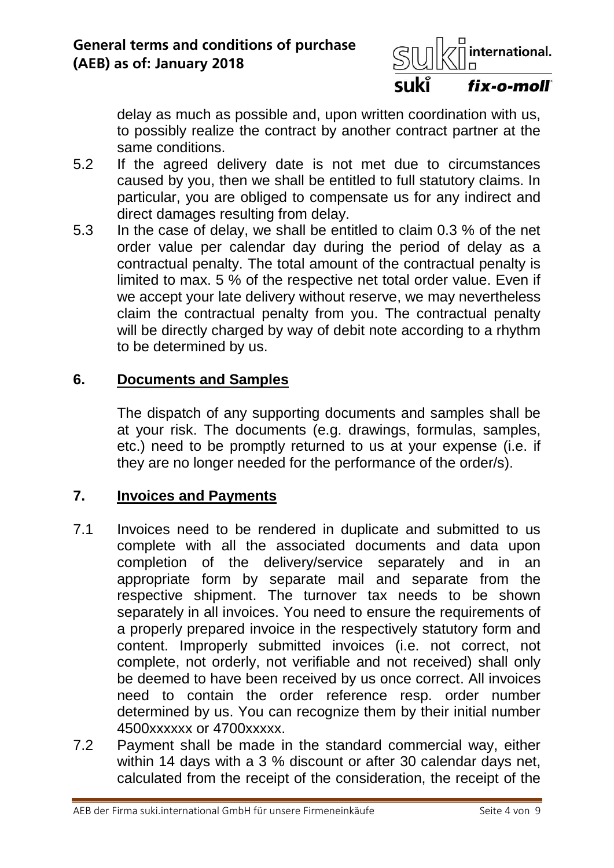

delay as much as possible and, upon written coordination with us, to possibly realize the contract by another contract partner at the same conditions.

- 5.2 If the agreed delivery date is not met due to circumstances caused by you, then we shall be entitled to full statutory claims. In particular, you are obliged to compensate us for any indirect and direct damages resulting from delay.
- 5.3 In the case of delay, we shall be entitled to claim 0.3 % of the net order value per calendar day during the period of delay as a contractual penalty. The total amount of the contractual penalty is limited to max. 5 % of the respective net total order value. Even if we accept your late delivery without reserve, we may nevertheless claim the contractual penalty from you. The contractual penalty will be directly charged by way of debit note according to a rhythm to be determined by us.

#### **6. Documents and Samples**

The dispatch of any supporting documents and samples shall be at your risk. The documents (e.g. drawings, formulas, samples, etc.) need to be promptly returned to us at your expense (i.e. if they are no longer needed for the performance of the order/s).

### **7. Invoices and Payments**

- 7.1 Invoices need to be rendered in duplicate and submitted to us complete with all the associated documents and data upon completion of the delivery/service separately and in an appropriate form by separate mail and separate from the respective shipment. The turnover tax needs to be shown separately in all invoices. You need to ensure the requirements of a properly prepared invoice in the respectively statutory form and content. Improperly submitted invoices (i.e. not correct, not complete, not orderly, not verifiable and not received) shall only be deemed to have been received by us once correct. All invoices need to contain the order reference resp. order number determined by us. You can recognize them by their initial number 4500xxxxxx or 4700xxxxx.
- 7.2 Payment shall be made in the standard commercial way, either within 14 days with a 3 % discount or after 30 calendar days net, calculated from the receipt of the consideration, the receipt of the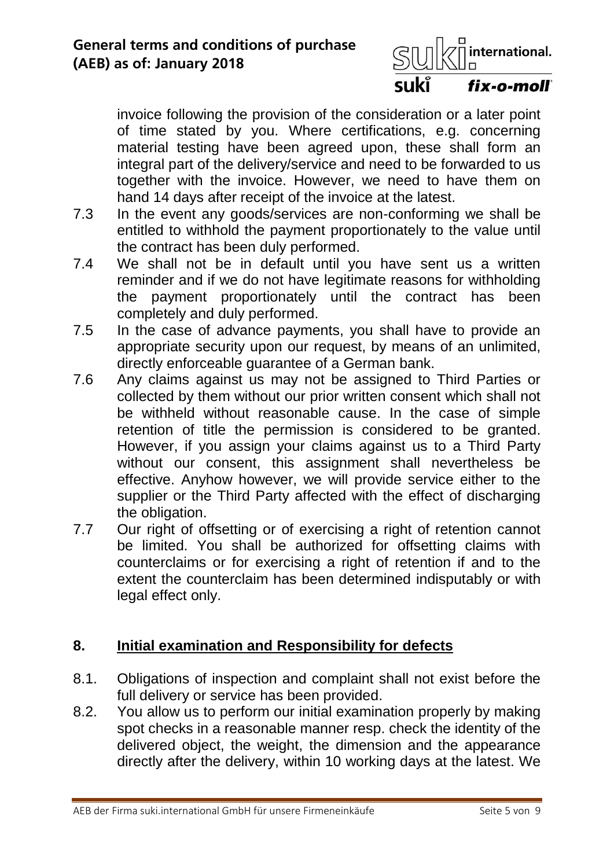

invoice following the provision of the consideration or a later point of time stated by you. Where certifications, e.g. concerning material testing have been agreed upon, these shall form an integral part of the delivery/service and need to be forwarded to us together with the invoice. However, we need to have them on hand 14 days after receipt of the invoice at the latest.

- 7.3 In the event any goods/services are non-conforming we shall be entitled to withhold the payment proportionately to the value until the contract has been duly performed.
- 7.4 We shall not be in default until you have sent us a written reminder and if we do not have legitimate reasons for withholding the payment proportionately until the contract has been completely and duly performed.
- 7.5 In the case of advance payments, you shall have to provide an appropriate security upon our request, by means of an unlimited, directly enforceable guarantee of a German bank.
- 7.6 Any claims against us may not be assigned to Third Parties or collected by them without our prior written consent which shall not be withheld without reasonable cause. In the case of simple retention of title the permission is considered to be granted. However, if you assign your claims against us to a Third Party without our consent, this assignment shall nevertheless be effective. Anyhow however, we will provide service either to the supplier or the Third Party affected with the effect of discharging the obligation.
- 7.7 Our right of offsetting or of exercising a right of retention cannot be limited. You shall be authorized for offsetting claims with counterclaims or for exercising a right of retention if and to the extent the counterclaim has been determined indisputably or with legal effect only.

# **8. Initial examination and Responsibility for defects**

- 8.1. Obligations of inspection and complaint shall not exist before the full delivery or service has been provided.
- 8.2. You allow us to perform our initial examination properly by making spot checks in a reasonable manner resp. check the identity of the delivered object, the weight, the dimension and the appearance directly after the delivery, within 10 working days at the latest. We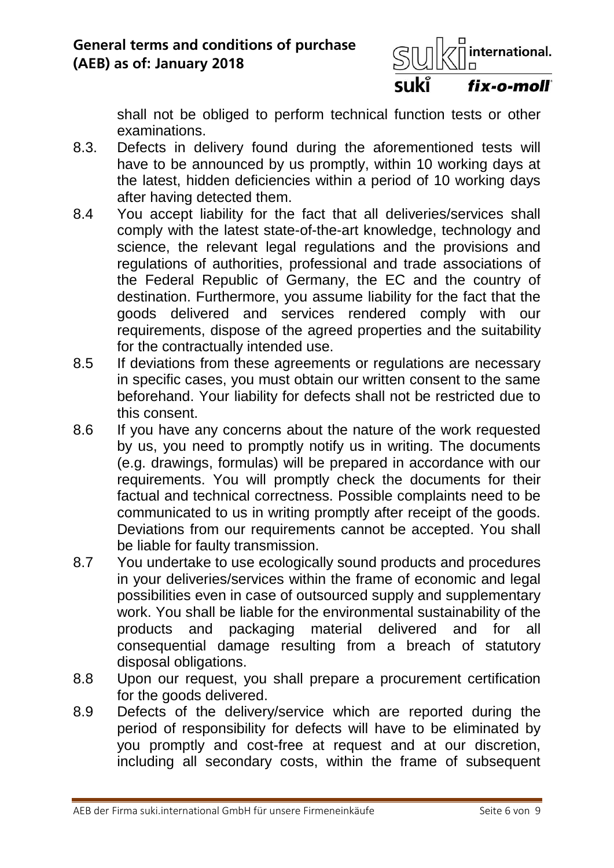

shall not be obliged to perform technical function tests or other examinations.

- 8.3. Defects in delivery found during the aforementioned tests will have to be announced by us promptly, within 10 working days at the latest, hidden deficiencies within a period of 10 working days after having detected them.
- 8.4 You accept liability for the fact that all deliveries/services shall comply with the latest state-of-the-art knowledge, technology and science, the relevant legal regulations and the provisions and regulations of authorities, professional and trade associations of the Federal Republic of Germany, the EC and the country of destination. Furthermore, you assume liability for the fact that the goods delivered and services rendered comply with our requirements, dispose of the agreed properties and the suitability for the contractually intended use.
- 8.5 If deviations from these agreements or regulations are necessary in specific cases, you must obtain our written consent to the same beforehand. Your liability for defects shall not be restricted due to this consent.
- 8.6 If you have any concerns about the nature of the work requested by us, you need to promptly notify us in writing. The documents (e.g. drawings, formulas) will be prepared in accordance with our requirements. You will promptly check the documents for their factual and technical correctness. Possible complaints need to be communicated to us in writing promptly after receipt of the goods. Deviations from our requirements cannot be accepted. You shall be liable for faulty transmission.
- 8.7 You undertake to use ecologically sound products and procedures in your deliveries/services within the frame of economic and legal possibilities even in case of outsourced supply and supplementary work. You shall be liable for the environmental sustainability of the products and packaging material delivered and for all consequential damage resulting from a breach of statutory disposal obligations.
- 8.8 Upon our request, you shall prepare a procurement certification for the goods delivered.
- 8.9 Defects of the delivery/service which are reported during the period of responsibility for defects will have to be eliminated by you promptly and cost-free at request and at our discretion, including all secondary costs, within the frame of subsequent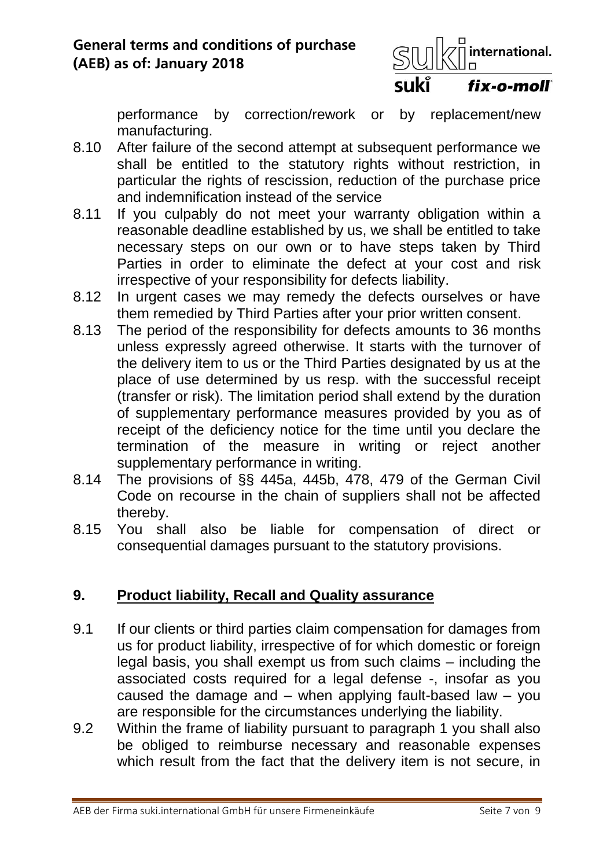

performance by correction/rework or by replacement/new manufacturing.

- 8.10 After failure of the second attempt at subsequent performance we shall be entitled to the statutory rights without restriction, in particular the rights of rescission, reduction of the purchase price and indemnification instead of the service
- 8.11 If you culpably do not meet your warranty obligation within a reasonable deadline established by us, we shall be entitled to take necessary steps on our own or to have steps taken by Third Parties in order to eliminate the defect at your cost and risk irrespective of your responsibility for defects liability.
- 8.12 In urgent cases we may remedy the defects ourselves or have them remedied by Third Parties after your prior written consent.
- 8.13 The period of the responsibility for defects amounts to 36 months unless expressly agreed otherwise. It starts with the turnover of the delivery item to us or the Third Parties designated by us at the place of use determined by us resp. with the successful receipt (transfer or risk). The limitation period shall extend by the duration of supplementary performance measures provided by you as of receipt of the deficiency notice for the time until you declare the termination of the measure in writing or reject another supplementary performance in writing.
- 8.14 The provisions of §§ 445a, 445b, 478, 479 of the German Civil Code on recourse in the chain of suppliers shall not be affected thereby.
- 8.15 You shall also be liable for compensation of direct or consequential damages pursuant to the statutory provisions.

## **9. Product liability, Recall and Quality assurance**

- 9.1 If our clients or third parties claim compensation for damages from us for product liability, irrespective of for which domestic or foreign legal basis, you shall exempt us from such claims – including the associated costs required for a legal defense -, insofar as you caused the damage and – when applying fault-based law – you are responsible for the circumstances underlying the liability.
- 9.2 Within the frame of liability pursuant to paragraph 1 you shall also be obliged to reimburse necessary and reasonable expenses which result from the fact that the delivery item is not secure, in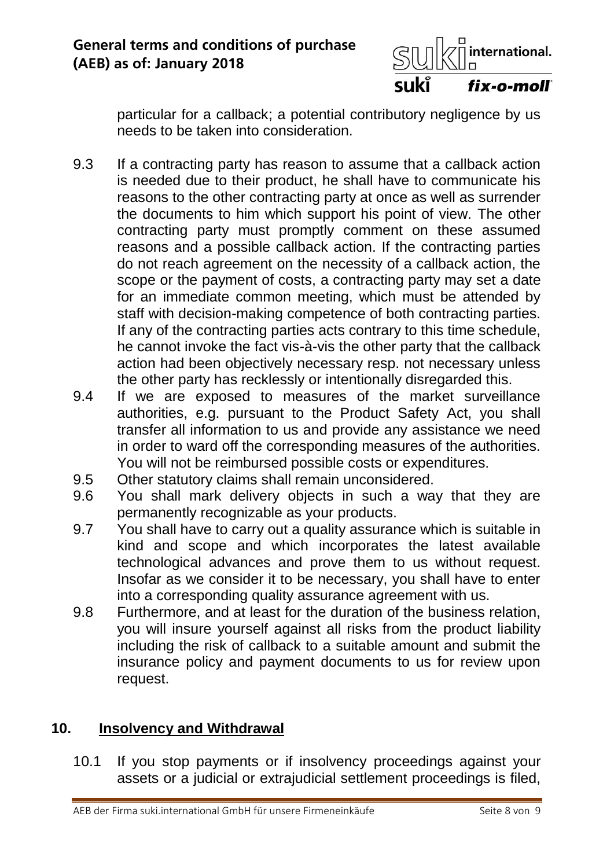

particular for a callback; a potential contributory negligence by us needs to be taken into consideration.

- 9.3 If a contracting party has reason to assume that a callback action is needed due to their product, he shall have to communicate his reasons to the other contracting party at once as well as surrender the documents to him which support his point of view. The other contracting party must promptly comment on these assumed reasons and a possible callback action. If the contracting parties do not reach agreement on the necessity of a callback action, the scope or the payment of costs, a contracting party may set a date for an immediate common meeting, which must be attended by staff with decision-making competence of both contracting parties. If any of the contracting parties acts contrary to this time schedule, he cannot invoke the fact vis-à-vis the other party that the callback action had been objectively necessary resp. not necessary unless the other party has recklessly or intentionally disregarded this.
- 9.4 If we are exposed to measures of the market surveillance authorities, e.g. pursuant to the Product Safety Act, you shall transfer all information to us and provide any assistance we need in order to ward off the corresponding measures of the authorities. You will not be reimbursed possible costs or expenditures.
- 9.5 Other statutory claims shall remain unconsidered.
- 9.6 You shall mark delivery objects in such a way that they are permanently recognizable as your products.
- 9.7 You shall have to carry out a quality assurance which is suitable in kind and scope and which incorporates the latest available technological advances and prove them to us without request. Insofar as we consider it to be necessary, you shall have to enter into a corresponding quality assurance agreement with us.
- 9.8 Furthermore, and at least for the duration of the business relation, you will insure yourself against all risks from the product liability including the risk of callback to a suitable amount and submit the insurance policy and payment documents to us for review upon request.

## **10. Insolvency and Withdrawal**

10.1 If you stop payments or if insolvency proceedings against your assets or a judicial or extrajudicial settlement proceedings is filed,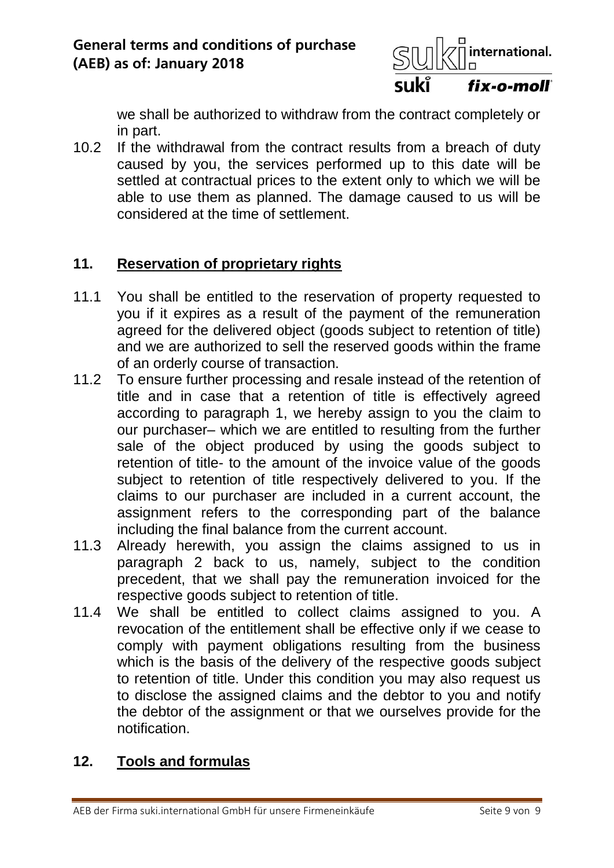

we shall be authorized to withdraw from the contract completely or in part.

10.2 If the withdrawal from the contract results from a breach of duty caused by you, the services performed up to this date will be settled at contractual prices to the extent only to which we will be able to use them as planned. The damage caused to us will be considered at the time of settlement.

### **11. Reservation of proprietary rights**

- 11.1 You shall be entitled to the reservation of property requested to you if it expires as a result of the payment of the remuneration agreed for the delivered object (goods subject to retention of title) and we are authorized to sell the reserved goods within the frame of an orderly course of transaction.
- 11.2 To ensure further processing and resale instead of the retention of title and in case that a retention of title is effectively agreed according to paragraph 1, we hereby assign to you the claim to our purchaser– which we are entitled to resulting from the further sale of the object produced by using the goods subject to retention of title- to the amount of the invoice value of the goods subject to retention of title respectively delivered to you. If the claims to our purchaser are included in a current account, the assignment refers to the corresponding part of the balance including the final balance from the current account.
- 11.3 Already herewith, you assign the claims assigned to us in paragraph 2 back to us, namely, subject to the condition precedent, that we shall pay the remuneration invoiced for the respective goods subject to retention of title.
- 11.4 We shall be entitled to collect claims assigned to you. A revocation of the entitlement shall be effective only if we cease to comply with payment obligations resulting from the business which is the basis of the delivery of the respective goods subject to retention of title. Under this condition you may also request us to disclose the assigned claims and the debtor to you and notify the debtor of the assignment or that we ourselves provide for the notification.

### **12. Tools and formulas**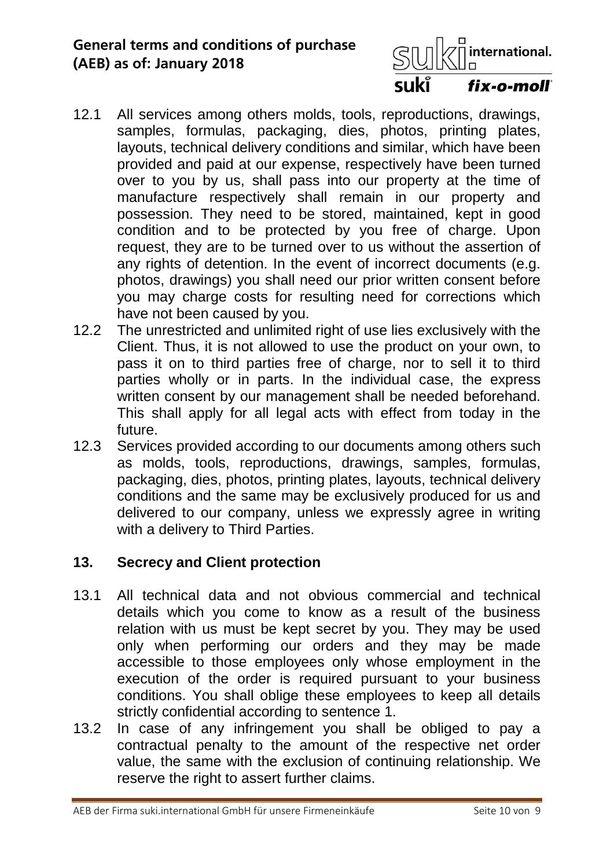### **General terms and conditions of purchase (AEB) as of: January 2018**



- 12.1 All services among others molds, tools, reproductions, drawings, samples, formulas, packaging, dies, photos, printing plates, layouts, technical delivery conditions and similar, which have been provided and paid at our expense, respectively have been turned over to you by us, shall pass into our property at the time of manufacture respectively shall remain in our property and possession. They need to be stored, maintained, kept in good condition and to be protected by you free of charge. Upon request, they are to be turned over to us without the assertion of any rights of detention. In the event of incorrect documents (e.g. photos, drawings) you shall need our prior written consent before you may charge costs for resulting need for corrections which have not been caused by you.
- 12.2 The unrestricted and unlimited right of use lies exclusively with the Client. Thus, it is not allowed to use the product on your own, to pass it on to third parties free of charge, nor to sell it to third parties wholly or in parts. In the individual case, the express written consent by our management shall be needed beforehand. This shall apply for all legal acts with effect from today in the future.
- 12.3 Services provided according to our documents among others such as molds, tools, reproductions, drawings, samples, formulas, packaging, dies, photos, printing plates, layouts, technical delivery conditions and the same may be exclusively produced for us and delivered to our company, unless we expressly agree in writing with a delivery to Third Parties.

### **13. Secrecy and Client protection**

- 13.1 All technical data and not obvious commercial and technical details which you come to know as a result of the business relation with us must be kept secret by you. They may be used only when performing our orders and they may be made accessible to those employees only whose employment in the execution of the order is required pursuant to your business conditions. You shall oblige these employees to keep all details strictly confidential according to sentence 1.
- 13.2 In case of any infringement you shall be obliged to pay a contractual penalty to the amount of the respective net order value, the same with the exclusion of continuing relationship. We reserve the right to assert further claims.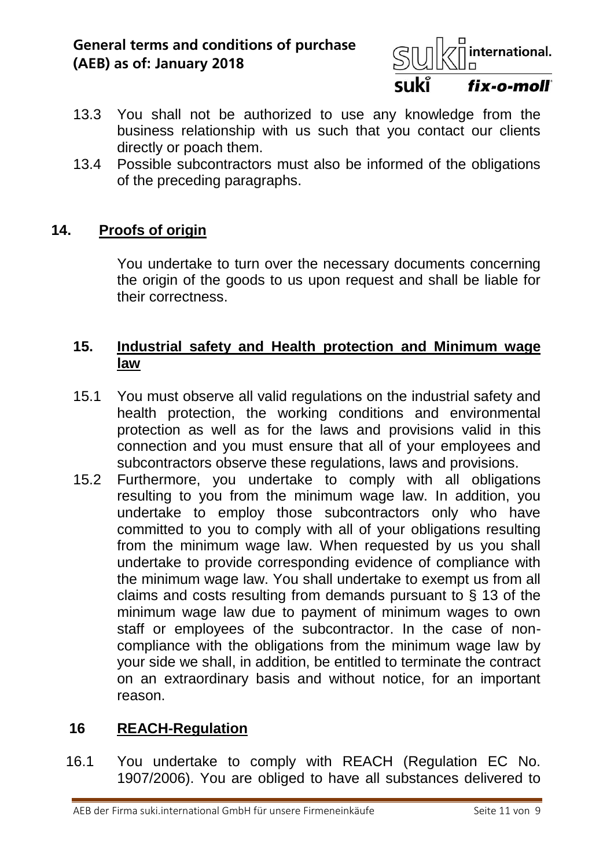

- 13.3 You shall not be authorized to use any knowledge from the business relationship with us such that you contact our clients directly or poach them.
- 13.4 Possible subcontractors must also be informed of the obligations of the preceding paragraphs.

### **14. Proofs of origin**

You undertake to turn over the necessary documents concerning the origin of the goods to us upon request and shall be liable for their correctness.

## **15. Industrial safety and Health protection and Minimum wage law**

- 15.1 You must observe all valid regulations on the industrial safety and health protection, the working conditions and environmental protection as well as for the laws and provisions valid in this connection and you must ensure that all of your employees and subcontractors observe these regulations, laws and provisions.
- 15.2 Furthermore, you undertake to comply with all obligations resulting to you from the minimum wage law. In addition, you undertake to employ those subcontractors only who have committed to you to comply with all of your obligations resulting from the minimum wage law. When requested by us you shall undertake to provide corresponding evidence of compliance with the minimum wage law. You shall undertake to exempt us from all claims and costs resulting from demands pursuant to § 13 of the minimum wage law due to payment of minimum wages to own staff or employees of the subcontractor. In the case of noncompliance with the obligations from the minimum wage law by your side we shall, in addition, be entitled to terminate the contract on an extraordinary basis and without notice, for an important reason.

### **16 REACH-Regulation**

16.1 You undertake to comply with REACH (Regulation EC No. 1907/2006). You are obliged to have all substances delivered to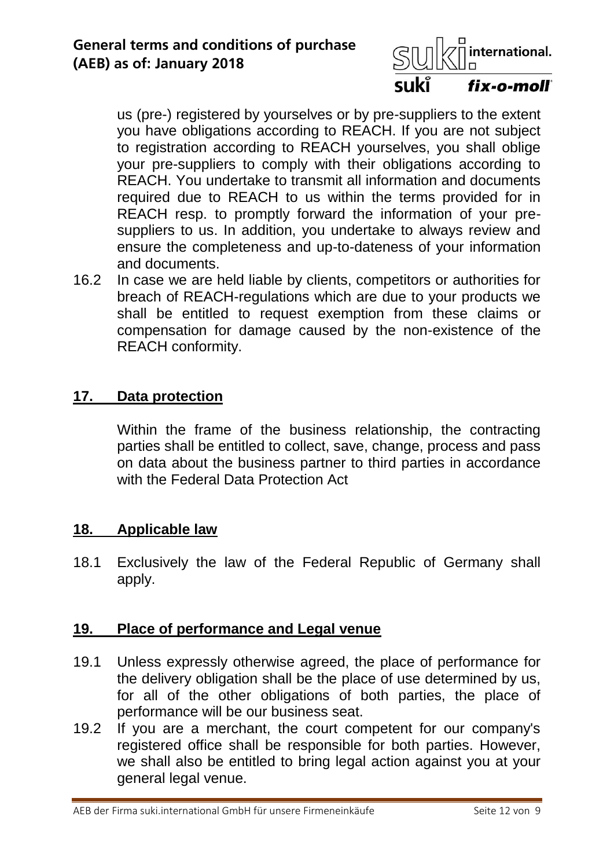

us (pre-) registered by yourselves or by pre-suppliers to the extent you have obligations according to REACH. If you are not subject to registration according to REACH yourselves, you shall oblige your pre-suppliers to comply with their obligations according to REACH. You undertake to transmit all information and documents required due to REACH to us within the terms provided for in REACH resp. to promptly forward the information of your presuppliers to us. In addition, you undertake to always review and ensure the completeness and up-to-dateness of your information and documents.

16.2 In case we are held liable by clients, competitors or authorities for breach of REACH-regulations which are due to your products we shall be entitled to request exemption from these claims or compensation for damage caused by the non-existence of the REACH conformity.

### **17. Data protection**

Within the frame of the business relationship, the contracting parties shall be entitled to collect, save, change, process and pass on data about the business partner to third parties in accordance with the Federal Data Protection Act

### **18. Applicable law**

18.1 Exclusively the law of the Federal Republic of Germany shall apply.

### **19. Place of performance and Legal venue**

- 19.1 Unless expressly otherwise agreed, the place of performance for the delivery obligation shall be the place of use determined by us, for all of the other obligations of both parties, the place of performance will be our business seat.
- 19.2 If you are a merchant, the court competent for our company's registered office shall be responsible for both parties. However, we shall also be entitled to bring legal action against you at your general legal venue.